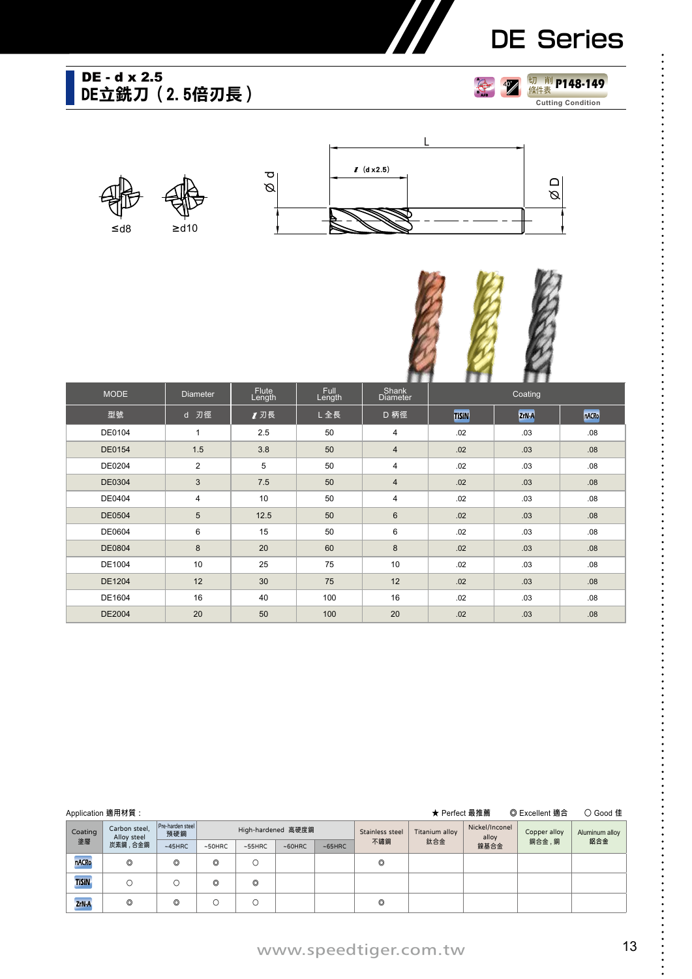# DE Series

### **DE立銑刀(2.5倍刃長)** DE - d x 2.5









|               |                 | . .             |                       |                          |              |         |       |
|---------------|-----------------|-----------------|-----------------------|--------------------------|--------------|---------|-------|
| <b>MODE</b>   | <b>Diameter</b> | Flute<br>Length | <b>Full</b><br>Length | Shank<br><b>Diameter</b> |              | Coating |       |
| 型號            | d 刃徑            | 1 刃長            | L全長                   | D 柄徑                     | <b>TISIN</b> | ZrN-A   | nACRo |
| DE0104        | $\mathbf{1}$    | 2.5             | 50                    | 4                        | .02          | .03     | .08   |
| DE0154        | 1.5             | 3.8             | 50                    | $\overline{4}$           | .02          | .03     | .08   |
| DE0204        | $\overline{2}$  | 5               | 50                    | 4                        | .02          | .03     | .08   |
| <b>DE0304</b> | 3               | 7.5             | 50                    | 4                        | .02          | .03     | .08   |
| DE0404        | $\overline{4}$  | 10              | 50                    | 4                        | .02          | .03     | .08   |
| <b>DE0504</b> | $5\phantom{.0}$ | 12.5            | 50                    | $6\phantom{a}$           | .02          | .03     | .08   |
| DE0604        | 6               | 15              | 50                    | 6                        | .02          | .03     | .08   |
| DE0804        | 8               | 20              | 60                    | 8                        | .02          | .03     | .08   |
| DE1004        | 10              | 25              | 75                    | 10                       | .02          | .03     | .08   |
| DE1204        | 12              | 30              | 75                    | 12                       | .02          | .03     | .08   |
| DE1604        | 16              | 40              | 100                   | 16                       | .02          | .03     | .08   |
| DE2004        | 20              | 50              | 100                   | 20                       | .02          | .03     | .08   |

|              | Application 適用材質:                                       |                |                | ★ Perfect 最推薦<br>◎ Excellent 適合<br>○ Good 佳 |                    |        |                 |                |                         |              |                |
|--------------|---------------------------------------------------------|----------------|----------------|---------------------------------------------|--------------------|--------|-----------------|----------------|-------------------------|--------------|----------------|
| Coating      | Pre-harden steel<br>Carbon steel.<br>預硬鋼<br>Alloy steel |                |                |                                             | High-hardened 高硬度鋼 |        | Stainless steel | Titanium alloy | Nickel/Inconel<br>alloy | Copper alloy | Aluminum alloy |
| 塗層           | 炭素鋼,合金鋼                                                 | $~145$ HRC     | $~50$ HRC      | $~55$ HRC                                   | $~50$ HRC          | ~55HRC | 不鏽鋼             | 鈦合金            | 鎳基合金                    | 銅合金,銅        | 鋁合金            |
| <b>nACRo</b> | $\circledcirc$                                          | $\circledcirc$ | $\circledcirc$ | Ω                                           |                    |        | O               |                |                         |              |                |
| <b>TISIN</b> | Ω                                                       |                | O              | O                                           |                    |        |                 |                |                         |              |                |
| ZrN-A        | $\circledcirc$                                          | $\circledcirc$ | Ο              |                                             |                    |        | O               |                |                         |              |                |

## www.speedtiger.com.tw 13

 $\ddot{\cdot}$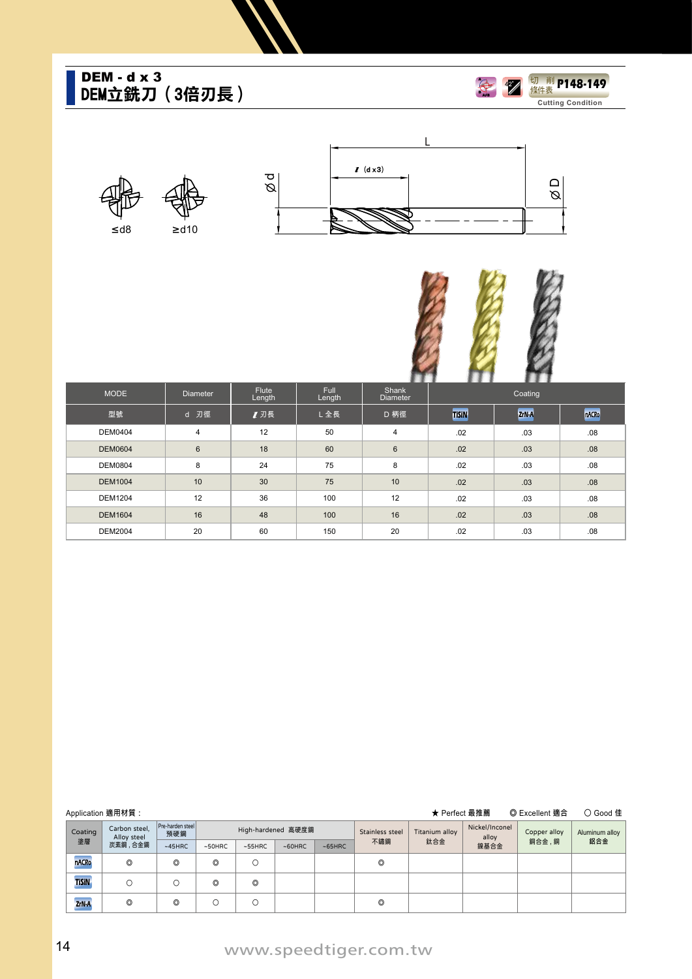### **DEM立銑刀(3倍刃長)** DEM - d x 3











| <b>MODE</b>    | Diameter        | Flute<br>Length | <b>Full</b><br>Length | ---<br>Shank<br><b>Diameter</b> | --<br>Coating |       |       |
|----------------|-----------------|-----------------|-----------------------|---------------------------------|---------------|-------|-------|
| 型號             | d 刃徑            | 1 刃長            | L全長                   | D 柄徑                            | <b>TISIN</b>  | ZrN-A | nACRo |
| <b>DEM0404</b> | 4               | 12              | 50                    | $\overline{4}$                  | .02           | .03   | .08   |
| <b>DEM0604</b> | $6\phantom{1}6$ | 18              | 60                    | 6                               | .02           | .03   | .08   |
| <b>DEM0804</b> | 8               | 24              | 75                    | 8                               | .02           | .03   | .08   |
| <b>DEM1004</b> | 10              | 30              | 75                    | 10                              | .02           | .03   | .08   |
| <b>DEM1204</b> | 12              | 36              | 100                   | 12                              | .02           | .03   | .08   |
| <b>DEM1604</b> | 16              | 48              | 100                   | 16                              | .02           | .03   | .08   |
| <b>DEM2004</b> | 20              | 60              | 150                   | 20                              | .02           | .03   | .08   |

| Application 適用材質:<br>★ Perfect 最推薦 |                                                          |                |                         |           |           |                    |     |                 |                |                         | ◎ Excellent 適合 | ○ Good 佳       |
|------------------------------------|----------------------------------------------------------|----------------|-------------------------|-----------|-----------|--------------------|-----|-----------------|----------------|-------------------------|----------------|----------------|
|                                    | Carbon steel,<br>Coating<br>Alloy steel<br>塗層<br>炭素鋼、合金鋼 |                | Pre-harden steel<br>預硬鋼 |           |           | High-hardened 高硬度鋼 |     | Stainless steel | Titanium alloy | Nickel/Inconel<br>alloy | Copper alloy   | Aluminum alloy |
|                                    |                                                          | $~145$ HRC     | $~50$ HRC               | $~55$ HRC | $~50$ HRC | ~55HRC             | 不鏽鋼 | 鈦合金             | 鎳基合金           | 銅合金,銅                   | 鋁合金            |                |
|                                    | nACRo                                                    | $\circledcirc$ | O                       | O         |           |                    |     | O               |                |                         |                |                |
|                                    | <b>TiSiN</b>                                             | О              |                         | O         | O         |                    |     |                 |                |                         |                |                |
|                                    | ZrN-A                                                    | O              | O                       | Ο         |           |                    |     | O               |                |                         |                |                |